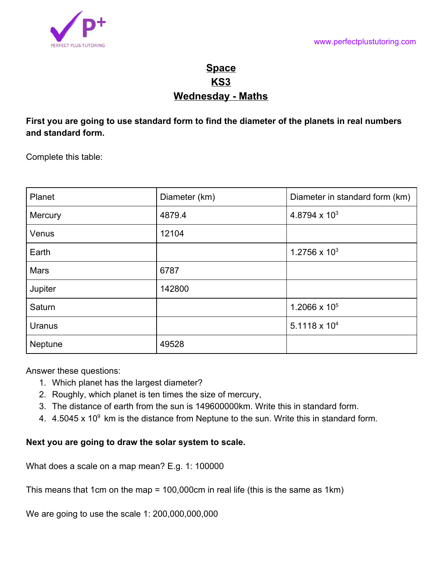

## **Space KS3 Wednesday - Maths**

**First you are going to use standard form to find the diameter of the planets in real numbers and standard form.**

Complete this table:

| Planet      | Diameter (km) | Diameter in standard form (km) |
|-------------|---------------|--------------------------------|
| Mercury     | 4879.4        | 4.8794 x $10^3$                |
| Venus       | 12104         |                                |
| Earth       |               | $1.2756 \times 10^{3}$         |
| <b>Mars</b> | 6787          |                                |
| Jupiter     | 142800        |                                |
| Saturn      |               | 1.2066 x $10^5$                |
| Uranus      |               | $5.1118 \times 10^{4}$         |
| Neptune     | 49528         |                                |

Answer these questions:

- 1. Which planet has the largest diameter?
- 2. Roughly, which planet is ten times the size of mercury,
- 3. The distance of earth from the sun is 149600000km. Write this in standard form.
- 4.  $4.5045 \times 10^9$  km is the distance from Neptune to the sun. Write this in standard form.

## **Next you are going to draw the solar system to scale.**

What does a scale on a map mean? E.g. 1: 100000

This means that 1cm on the map = 100,000cm in real life (this is the same as 1km)

We are going to use the scale 1: 200,000,000,000